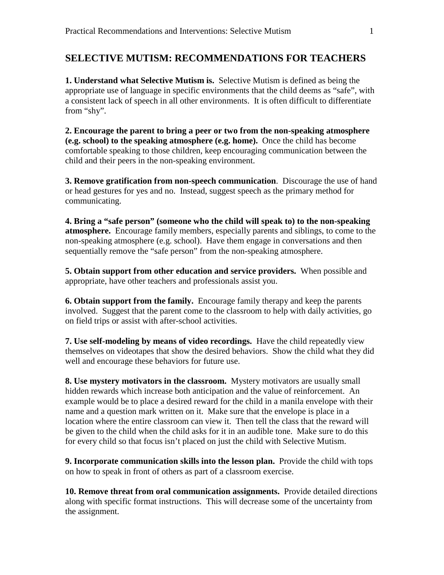## **SELECTIVE MUTISM: RECOMMENDATIONS FOR TEACHERS**

**1. Understand what Selective Mutism is.** Selective Mutism is defined as being the appropriate use of language in specific environments that the child deems as "safe", with a consistent lack of speech in all other environments. It is often difficult to differentiate from "shy".

**2. Encourage the parent to bring a peer or two from the non-speaking atmosphere (e.g. school) to the speaking atmosphere (e.g. home).** Once the child has become comfortable speaking to those children, keep encouraging communication between the child and their peers in the non-speaking environment.

**3. Remove gratification from non-speech communication**. Discourage the use of hand or head gestures for yes and no. Instead, suggest speech as the primary method for communicating.

**4. Bring a "safe person" (someone who the child will speak to) to the non-speaking atmosphere.** Encourage family members, especially parents and siblings, to come to the non-speaking atmosphere (e.g. school). Have them engage in conversations and then sequentially remove the "safe person" from the non-speaking atmosphere.

**5. Obtain support from other education and service providers.** When possible and appropriate, have other teachers and professionals assist you.

**6. Obtain support from the family.** Encourage family therapy and keep the parents involved. Suggest that the parent come to the classroom to help with daily activities, go on field trips or assist with after-school activities.

**7. Use self-modeling by means of video recordings.** Have the child repeatedly view themselves on videotapes that show the desired behaviors. Show the child what they did well and encourage these behaviors for future use.

**8. Use mystery motivators in the classroom.** Mystery motivators are usually small hidden rewards which increase both anticipation and the value of reinforcement. An example would be to place a desired reward for the child in a manila envelope with their name and a question mark written on it. Make sure that the envelope is place in a location where the entire classroom can view it. Then tell the class that the reward will be given to the child when the child asks for it in an audible tone. Make sure to do this for every child so that focus isn't placed on just the child with Selective Mutism.

**9. Incorporate communication skills into the lesson plan.** Provide the child with tops on how to speak in front of others as part of a classroom exercise.

**10. Remove threat from oral communication assignments.** Provide detailed directions along with specific format instructions. This will decrease some of the uncertainty from the assignment.